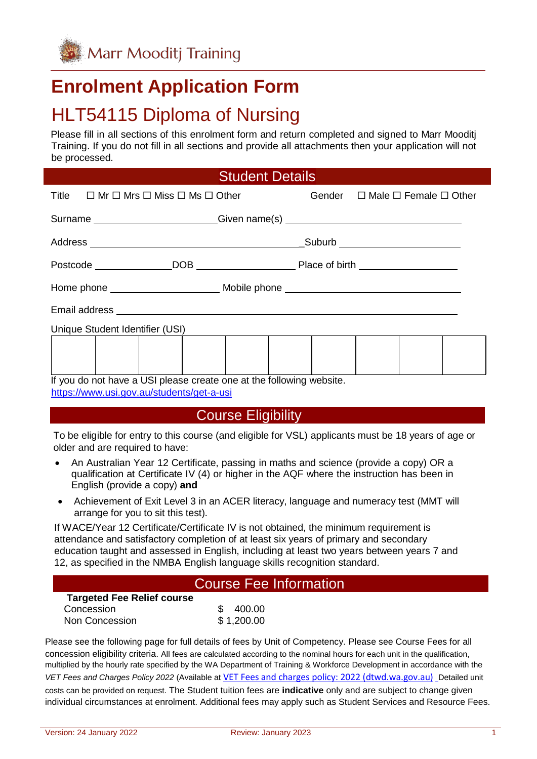

# **Enrolment Application Form**

# HLT54115 Diploma of Nursing

Please fill in all sections of this enrolment form and return completed and signed to Marr Mooditj Training. If you do not fill in all sections and provide all attachments then your application will not be processed.

|  | <b>Student Details</b> |  |
|--|------------------------|--|
|  |                        |  |
|  |                        |  |

| Title $\Box$ Mr $\Box$ Mrs $\Box$ Miss $\Box$ Ms $\Box$ Other                    |  |  | Gender $\Box$ Male $\Box$ Female $\Box$ Other |  |  |
|----------------------------------------------------------------------------------|--|--|-----------------------------------------------|--|--|
| Surname ________________________Given name(s) __________________________________ |  |  |                                               |  |  |
|                                                                                  |  |  |                                               |  |  |
|                                                                                  |  |  |                                               |  |  |
|                                                                                  |  |  |                                               |  |  |
|                                                                                  |  |  |                                               |  |  |
| Unique Student Identifier (USI)                                                  |  |  |                                               |  |  |
|                                                                                  |  |  |                                               |  |  |
|                                                                                  |  |  |                                               |  |  |
| If you do not have a USI please create one at the following website.             |  |  |                                               |  |  |

<https://www.usi.gov.au/students/get-a-usi>

#### Course Eligibility

To be eligible for entry to this course (and eligible for VSL) applicants must be 18 years of age or older and are required to have:

- An Australian Year 12 Certificate, passing in maths and science (provide a copy) OR a qualification at Certificate IV (4) or higher in the AQF where the instruction has been in English (provide a copy) **and**
- Achievement of Exit Level 3 in an ACER literacy, language and numeracy test (MMT will arrange for you to sit this test).

If WACE/Year 12 Certificate/Certificate IV is not obtained, the minimum requirement is attendance and satisfactory completion of at least six years of primary and secondary education taught and assessed in English, including at least two years between years 7 and 12, as specified in the NMBA English language skills recognition standard.

#### Course Fee Information

| <b>Targeted Fee Relief course</b> |            |
|-----------------------------------|------------|
| Concession                        | \$400.00   |
| Non Concession                    | \$1,200.00 |

Please see the following page for full details of fees by Unit of Competency. Please see Course Fees for all concession eligibility criteria. All fees are calculated according to the nominal hours for each unit in the qualification, multiplied by the hourly rate specified by the WA Department of Training & Workforce Development in accordance with the *VET Fees and Charges Policy 2022* (Available at [VET Fees and charges policy: 2022 \(dtwd.wa.gov.au\)](https://www.dtwd.wa.gov.au/sites/default/files/uploads/dtwd-vet-fees-and-charges-2022-v1.0.pdf) Detailed unit costs can be provided on request. The Student tuition fees are **indicative** only and are subject to change given individual circumstances at enrolment. Additional fees may apply such as Student Services and Resource Fees.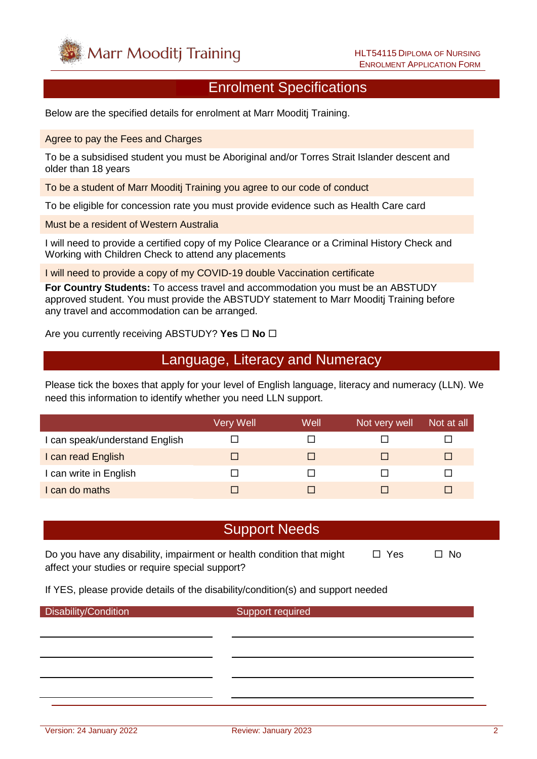

#### Enrolment Specifications

Below are the specified details for enrolment at Marr Mooditj Training.

Agree to pay the Fees and Charges

To be a subsidised student you must be Aboriginal and/or Torres Strait Islander descent and older than 18 years

To be a student of Marr Mooditj Training you agree to our code of conduct

To be eligible for concession rate you must provide evidence such as Health Care card

Must be a resident of Western Australia

I will need to provide a certified copy of my Police Clearance or a Criminal History Check and Working with Children Check to attend any placements

I will need to provide a copy of my COVID-19 double Vaccination certificate

**For Country Students:** To access travel and accommodation you must be an ABSTUDY approved student. You must provide the ABSTUDY statement to Marr Mooditj Training before any travel and accommodation can be arranged.

Are you currently receiving ABSTUDY? Yes **□ No** □

### Language, Literacy and Numeracy

Please tick the boxes that apply for your level of English language, literacy and numeracy (LLN). We need this information to identify whether you need LLN support.

|                                | Very Well | Well | Not very well | Not at all |
|--------------------------------|-----------|------|---------------|------------|
| I can speak/understand English |           |      |               |            |
| I can read English             |           |      |               |            |
| I can write in English         |           |      |               |            |
| I can do maths                 |           |      |               |            |

#### Support Needs

Do you have any disability, impairment or health condition that might  $\Box$  Yes  $\Box$  No affect your studies or require special support?

If YES, please provide details of the disability/condition(s) and support needed

Disability/Condition Support required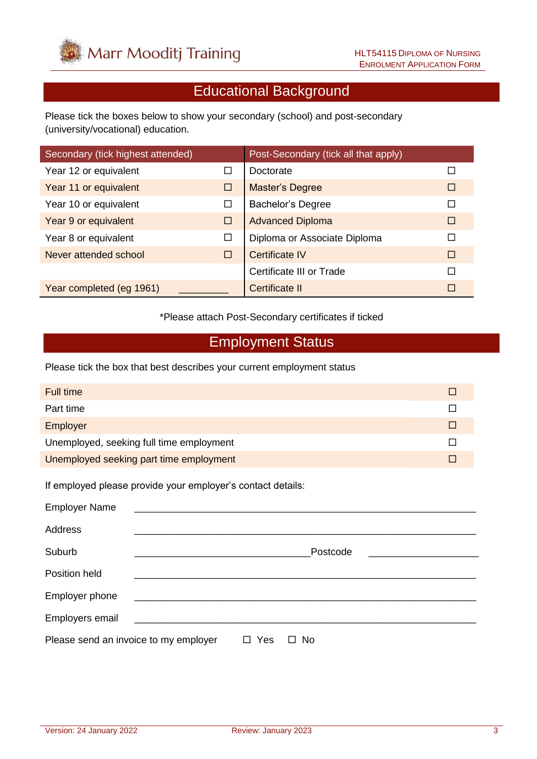

## Educational Background

Please tick the boxes below to show your secondary (school) and post-secondary (university/vocational) education.

| Secondary (tick highest attended) |        | Post-Secondary (tick all that apply) |        |
|-----------------------------------|--------|--------------------------------------|--------|
| Year 12 or equivalent             | П      | Doctorate                            | □      |
| Year 11 or equivalent             | □      | <b>Master's Degree</b>               | □      |
| Year 10 or equivalent             | □      | <b>Bachelor's Degree</b>             | П      |
| Year 9 or equivalent              | □      | <b>Advanced Diploma</b>              | □      |
| Year 8 or equivalent              | $\Box$ | Diploma or Associate Diploma         | $\Box$ |
| Never attended school             | □      | <b>Certificate IV</b>                | $\Box$ |
|                                   |        | Certificate III or Trade             | $\Box$ |
| Year completed (eg 1961)          |        | <b>Certificate II</b>                | □      |

\*Please attach Post-Secondary certificates if ticked

### Employment Status

Please tick the box that best describes your current employment status

| <b>Full time</b>                                            |          | □ |
|-------------------------------------------------------------|----------|---|
| Part time                                                   |          | П |
| Employer                                                    |          | □ |
| Unemployed, seeking full time employment                    |          | П |
| Unemployed seeking part time employment                     |          | □ |
| If employed please provide your employer's contact details: |          |   |
| <b>Employer Name</b>                                        |          |   |
| <b>Address</b>                                              |          |   |
| Suburb                                                      | Postcode |   |
| Position held                                               |          |   |
| Employer phone                                              |          |   |
| Employers email                                             |          |   |

Please send an invoice to my employer  $\Box$  Yes  $\Box$  No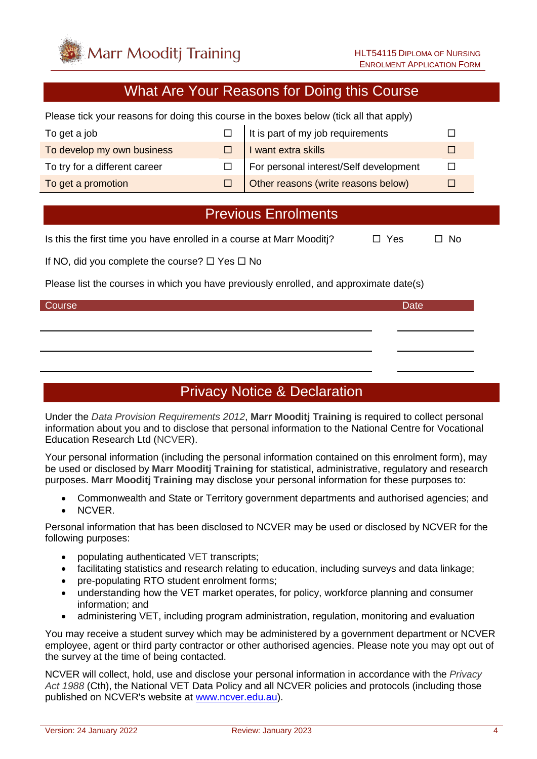

#### What Are Your Reasons for Doing this Course

Please tick your reasons for doing this course in the boxes below (tick all that apply)

| To get a job                  | It is part of my job requirements      |  |
|-------------------------------|----------------------------------------|--|
| To develop my own business    | I want extra skills                    |  |
| To try for a different career | For personal interest/Self development |  |
| To get a promotion            | Other reasons (write reasons below)    |  |

### Previous Enrolments

Is this the first time you have enrolled in a course at Marr Mooditi?  $\Box$  Yes  $\Box$  No

If NO, did you complete the course?  $\Box$  Yes  $\Box$  No

Please list the courses in which you have previously enrolled, and approximate date(s)

#### Course **Date** Date of the Course of the Course of the Course of the Course of the Date Date

### Privacy Notice & Declaration

Under the *Data Provision Requirements 2012*, **Marr Mooditj Training** is required to collect personal information about you and to disclose that personal information to the National Centre for Vocational Education Research Ltd (NCVER).

Your personal information (including the personal information contained on this enrolment form), may be used or disclosed by **Marr Mooditj Training** for statistical, administrative, regulatory and research purposes. **Marr Mooditj Training** may disclose your personal information for these purposes to:

- Commonwealth and State or Territory government departments and authorised agencies; and
- NCVER.

Personal information that has been disclosed to NCVER may be used or disclosed by NCVER for the following purposes:

- populating authenticated VET transcripts;
- facilitating statistics and research relating to education, including surveys and data linkage;
- pre-populating RTO student enrolment forms;
- understanding how the VET market operates, for policy, workforce planning and consumer information; and
- administering VET, including program administration, regulation, monitoring and evaluation

You may receive a student survey which may be administered by a government department or NCVER employee, agent or third party contractor or other authorised agencies. Please note you may opt out of the survey at the time of being contacted.

NCVER will collect, hold, use and disclose your personal information in accordance with the *Privacy Act 1988* (Cth), the National VET Data Policy and all NCVER policies and protocols (including those published on NCVER's website at [www.ncver.edu.au\)](http://www.ncver.edu.au/).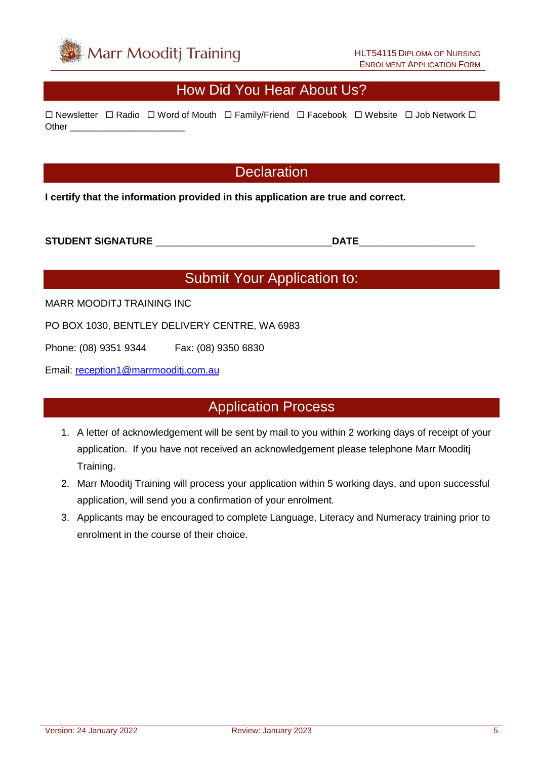

## How Did You Hear About Us?

 $\Box$  Newsletter  $\Box$  Radio  $\Box$  Word of Mouth  $\Box$  Family/Friend  $\Box$  Facebook  $\Box$  Website  $\Box$  Job Network  $\Box$ Other \_\_\_\_\_\_\_\_\_\_\_\_\_\_\_\_\_\_\_\_\_\_\_

### **Declaration**

**I certify that the information provided in this application are true and correct.**

#### **STUDENT SIGNATURE** \_\_\_\_\_\_\_\_\_\_\_\_\_\_\_\_\_\_\_\_\_\_\_\_\_\_\_\_\_\_\_\_**DATE**\_\_\_\_\_\_\_\_\_\_\_\_\_\_\_\_\_\_\_\_\_

### Submit Your Application to:

MARR MOODITJ TRAINING INC

PO BOX 1030, BENTLEY DELIVERY CENTRE, WA 6983

Phone: (08) 9351 9344 Fax: (08) 9350 6830

Email: [reception1@marrmooditj.com.au](mailto:reception1@marrmooditj.com.au)

### Application Process

- 1. A letter of acknowledgement will be sent by mail to you within 2 working days of receipt of your application. If you have not received an acknowledgement please telephone Marr Mooditj Training.
- 2. Marr Mooditj Training will process your application within 5 working days, and upon successful application, will send you a confirmation of your enrolment.
- 3. Applicants may be encouraged to complete Language, Literacy and Numeracy training prior to enrolment in the course of their choice.